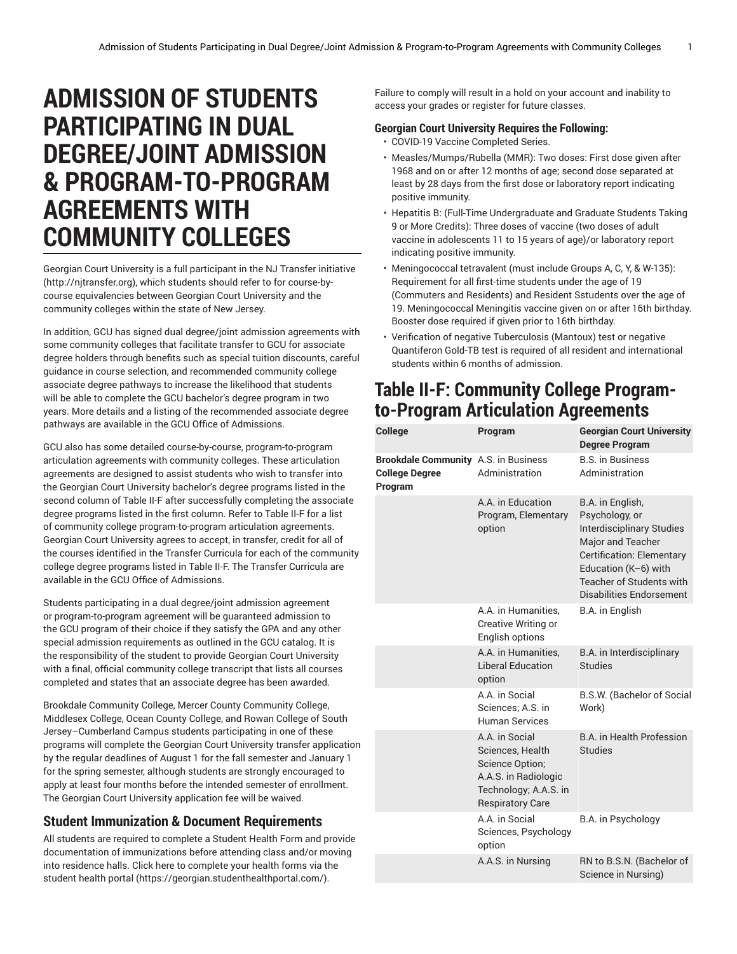## **ADMISSION OF STUDENTS PARTICIPATING IN DUAL DEGREE/JOINT ADMISSION & PROGRAM-TO-PROGRAM AGREEMENTS WITH COMMUNITY COLLEGES**

Georgian Court University is a full participant in the NJ Transfer initiative ([http://njtransfer.org\)](http://njtransfer.org), which students should refer to for course-bycourse equivalencies between Georgian Court University and the community colleges within the state of New Jersey.

In addition, GCU has signed dual degree/joint admission agreements with some community colleges that facilitate transfer to GCU for associate degree holders through benefits such as special tuition discounts, careful guidance in course selection, and recommended community college associate degree pathways to increase the likelihood that students will be able to complete the GCU bachelor's degree program in two years. More details and a listing of the recommended associate degree pathways are available in the GCU Office of Admissions.

GCU also has some detailed course-by-course, program-to-program articulation agreements with community colleges. These articulation agreements are designed to assist students who wish to transfer into the Georgian Court University bachelor's degree programs listed in the second column of Table II-F after successfully completing the associate degree programs listed in the first column. Refer to Table II-F for a list of community college program-to-program articulation agreements. Georgian Court University agrees to accept, in transfer, credit for all of the courses identified in the Transfer Curricula for each of the community college degree programs listed in Table II-F. The Transfer Curricula are available in the GCU Office of Admissions.

Students participating in a dual degree/joint admission agreement or program-to-program agreement will be guaranteed admission to the GCU program of their choice if they satisfy the GPA and any other special admission requirements as outlined in the GCU catalog. It is the responsibility of the student to provide Georgian Court University with a final, official community college transcript that lists all courses completed and states that an associate degree has been awarded.

Brookdale Community College, Mercer County Community College, Middlesex College, Ocean County College, and Rowan College of South Jersey–Cumberland Campus students participating in one of these programs will complete the Georgian Court University transfer application by the regular deadlines of August 1 for the fall semester and January 1 for the spring semester, although students are strongly encouraged to apply at least four months before the intended semester of enrollment. The Georgian Court University application fee will be waived.

## **Student Immunization & Document Requirements**

All students are required to complete a Student Health Form and provide documentation of immunizations before attending class and/or moving into residence halls. Click here to [complete](https://georgian.studenthealthportal.com/) your health forms via the [student](https://georgian.studenthealthportal.com/) health portal (<https://georgian.studenthealthportal.com/>).

Failure to comply will result in a hold on your account and inability to access your grades or register for future classes.

## **Georgian Court University Requires the Following:**

- COVID-19 Vaccine Completed Series.
- Measles/Mumps/Rubella (MMR): Two doses: First dose given after 1968 and on or after 12 months of age; second dose separated at least by 28 days from the first dose or laboratory report indicating positive immunity.
- Hepatitis B: (Full-Time Undergraduate and Graduate Students Taking 9 or More Credits): Three doses of vaccine (two doses of adult vaccine in adolescents 11 to 15 years of age)/or laboratory report indicating positive immunity.
- Meningococcal tetravalent (must include Groups A, C, Y, & W-135): Requirement for all first-time students under the age of 19 (Commuters and Residents) and Resident Sstudents over the age of 19. Meningococcal Meningitis vaccine given on or after 16th birthday. Booster dose required if given prior to 16th birthday.
- Verification of negative Tuberculosis (Mantoux) test or negative Quantiferon Gold-TB test is required of all resident and international students within 6 months of admission.

## **Table II-F: Community College Programto-Program Articulation Agreements**

| College                                                                  | Program                                                                                                                           | <b>Georgian Court University</b><br><b>Degree Program</b>                                                                                                                                                       |
|--------------------------------------------------------------------------|-----------------------------------------------------------------------------------------------------------------------------------|-----------------------------------------------------------------------------------------------------------------------------------------------------------------------------------------------------------------|
| Brookdale Community A.S. in Business<br><b>College Degree</b><br>Program | Administration                                                                                                                    | <b>B.S. in Business</b><br>Administration                                                                                                                                                                       |
|                                                                          | A.A. in Education<br>Program, Elementary<br>option                                                                                | B.A. in English,<br>Psychology, or<br><b>Interdisciplinary Studies</b><br>Major and Teacher<br><b>Certification: Elementary</b><br>Education (K-6) with<br>Teacher of Students with<br>Disabilities Endorsement |
|                                                                          | A.A. in Humanities.<br><b>Creative Writing or</b><br>English options                                                              | B.A. in English                                                                                                                                                                                                 |
|                                                                          | A.A. in Humanities.<br><b>Liberal Education</b><br>option                                                                         | B.A. in Interdisciplinary<br><b>Studies</b>                                                                                                                                                                     |
|                                                                          | A.A. in Social<br>Sciences: A.S. in<br><b>Human Services</b>                                                                      | B.S.W. (Bachelor of Social<br>Work)                                                                                                                                                                             |
|                                                                          | A.A. in Social<br>Sciences. Health<br>Science Option;<br>A.A.S. in Radiologic<br>Technology; A.A.S. in<br><b>Respiratory Care</b> | <b>B.A.</b> in Health Profession<br><b>Studies</b>                                                                                                                                                              |
|                                                                          | A.A. in Social<br>Sciences, Psychology<br>option                                                                                  | B.A. in Psychology                                                                                                                                                                                              |
|                                                                          | A.A.S. in Nursing                                                                                                                 | RN to B.S.N. (Bachelor of<br>Science in Nursing)                                                                                                                                                                |